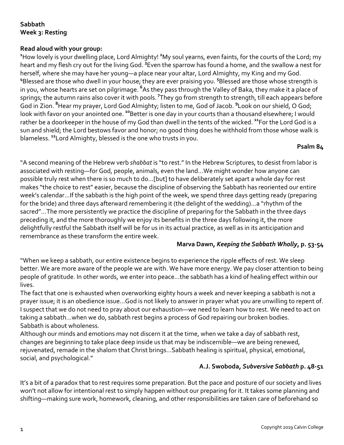# **Sabbath Week 3: Resting**

## **Read aloud with your group:**

**1** How lovely is your dwelling place, Lord Almighty! **<sup>2</sup>** My soul yearns, even faints, for the courts of the Lord; my heart and my flesh cry out for the living God. **<sup>3</sup>** Even the sparrow has found a home, and the swallow a nest for herself, where she may have her young—a place near your altar, Lord Almighty, my King and my God. <sup>4</sup>Blessed are those who dwell in your house; they are ever praising you. <sup>5</sup>Blessed are those whose strength is in you, whose hearts are set on pilgrimage. **<sup>6</sup>** As they pass through the Valley of Baka, they make it a place of springs; the autumn rains also cover it with pools. **7** They go from strength to strength, till each appears before God in Zion. **<sup>8</sup>** Hear my prayer, Lord God Almighty; listen to me, God of Jacob. **<sup>9</sup>** Look on our shield, O God; look with favor on your anointed one. **<sup>10</sup>**Better is one day in your courts than a thousand elsewhere; I would rather be a doorkeeper in the house of my God than dwell in the tents of the wicked. **<sup>11</sup>**For the Lord God is a sun and shield; the Lord bestows favor and honor; no good thing does he withhold from those whose walk is blameless. **<sup>12</sup>**Lord Almighty, blessed is the one who trusts in you.

#### **Psalm 84**

"A second meaning of the Hebrew verb *shabbat* is "to rest." In the Hebrew Scriptures, to desist from labor is associated with resting—for God, people, animals, even the land...We might wonder how anyone can possible truly rest when there is so much to do…[but] to have deliberately set apart a whole day for rest makes "the choice to rest" easier, because the discipline of observing the Sabbath has reoriented our entire week's calendar…If the sabbath is the high point of the week, we spend three days getting ready (preparing for the bride) and three days afterward remembering it (the delight of the wedding)…a "rhythm of the sacred"…The more persistently we practice the discipline of preparing for the Sabbath in the three days preceding it, and the more thoroughly we enjoy its benefits in the three days following it, the more delightfully restful the Sabbath itself will be for us in its actual practice, as well as in its anticipation and remembrance as these transform the entire week.

#### **Marva Dawn,** *Keeping the Sabbath Wholly***, p. 53-54**

"When we keep a sabbath, our entire existence begins to experience the ripple effects of rest. We sleep better. We are more aware of the people we are with. We have more energy. We pay closer attention to being people of gratitude. In other words, we enter into peace…the sabbath has a kind of healing effect within our lives.

The fact that one is exhausted when overworking eighty hours a week and never keeping a sabbath is not a prayer issue; it is an obedience issue…God is not likely to answer in prayer what you are unwilling to repent of. I suspect that we do not need to pray about our exhaustion—we need to learn how to rest. We need to act on taking a sabbath…when we do, sabbath rest begins a process of God repairing our broken bodies. Sabbath is about wholeness.

Although our minds and emotions may not discern it at the time, when we take a day of sabbath rest, changes are beginning to take place deep inside us that may be indiscernible—we are being renewed, rejuvenated, remade in the shalom that Christ brings…Sabbath healing is spiritual, physical, emotional, social, and psychological."

## **A.J. Swoboda,** *Subversive Sabbath* **p. 48-51**

It's a bit of a paradox that to rest requires some preparation. But the pace and posture of our society and lives won't not allow for intentional rest to simply happen without our preparing for it. It takes some planning and shifting—making sure work, homework, cleaning, and other responsibilities are taken care of beforehand so